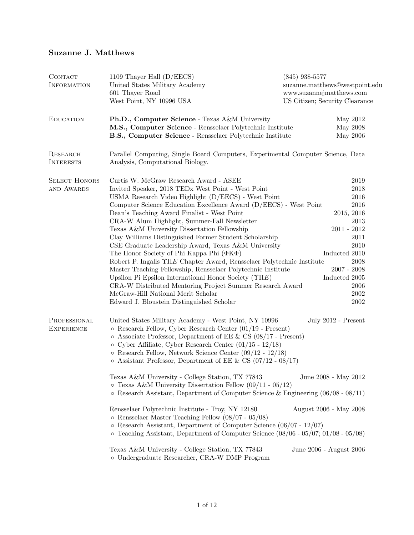# Suzanne J. Matthews

| CONTACT<br><b>INFORMATION</b>       | 1109 Thayer Hall (D/EECS)<br>United States Military Academy<br>601 Thayer Road<br>West Point, NY 10996 USA                                                                                                                                                                                                                                                                                                                                                                                                                                                                                                                                                                                                                                                                                                                                                                                                                | $(845)$ 938-5577<br>suzanne.matthews@westpoint.edu<br>www.suzannejmatthews.com<br>US Citizen; Security Clearance                                                       |
|-------------------------------------|---------------------------------------------------------------------------------------------------------------------------------------------------------------------------------------------------------------------------------------------------------------------------------------------------------------------------------------------------------------------------------------------------------------------------------------------------------------------------------------------------------------------------------------------------------------------------------------------------------------------------------------------------------------------------------------------------------------------------------------------------------------------------------------------------------------------------------------------------------------------------------------------------------------------------|------------------------------------------------------------------------------------------------------------------------------------------------------------------------|
| <b>EDUCATION</b>                    | Ph.D., Computer Science - Texas A&M University<br>M.S., Computer Science - Rensselaer Polytechnic Institute<br>B.S., Computer Science - Rensselaer Polytechnic Institute                                                                                                                                                                                                                                                                                                                                                                                                                                                                                                                                                                                                                                                                                                                                                  | May 2012<br>May 2008<br>May 2006                                                                                                                                       |
| <b>RESEARCH</b><br><b>INTERESTS</b> | Parallel Computing, Single Board Computers, Experimental Computer Science, Data<br>Analysis, Computational Biology.                                                                                                                                                                                                                                                                                                                                                                                                                                                                                                                                                                                                                                                                                                                                                                                                       |                                                                                                                                                                        |
| <b>SELECT HONORS</b><br>AND AWARDS  | Curtis W. McGraw Research Award - ASEE<br>Invited Speaker, 2018 TEDx West Point - West Point<br>USMA Research Video Highlight (D/EECS) - West Point<br>Computer Science Education Excellence Award (D/EECS) - West Point<br>Dean's Teaching Award Finalist - West Point<br>CRA-W Alum Highlight, Summer-Fall Newsletter<br>Texas A&M University Dissertation Fellowship<br>Clay Williams Distinguished Former Student Scholarship<br>CSE Graduate Leadership Award, Texas A&M University<br>The Honor Society of Phi Kappa Phi $(\Phi K \Phi)$<br>Robert P. Ingalls $\Upsilon \Pi E$ Chapter Award, Rensselaer Polytechnic Institute<br>Master Teaching Fellowship, Rensselaer Polytechnic Institute<br>Upsilon Pi Epsilon International Honor Society $(\Upsilon \Pi E)$<br>CRA-W Distributed Mentoring Project Summer Research Award<br>McGraw-Hill National Merit Scholar<br>Edward J. Bloustein Distinguished Scholar | 2019<br>2018<br>2016<br>2016<br>2015, 2016<br>2013<br>$2011 - 2012$<br>2011<br>2010<br>Inducted 2010<br>2008<br>$2007 - 2008$<br>Inducted 2005<br>2006<br>2002<br>2002 |
| PROFESSIONAL<br><b>EXPERIENCE</b>   | United States Military Academy - West Point, NY 10996<br>$\circ$ Research Fellow, Cyber Research Center (01/19 - Present)<br>$\circ$ Associate Professor, Department of EE & CS (08/17 - Present)<br>$\circ$ Cyber Affiliate, Cyber Research Center (01/15 - 12/18)<br>o Research Fellow, Network Science Center $(09/12 - 12/18)$<br>$\circ$ Assistant Professor, Department of EE & CS (07/12 - 08/17)<br>Texas A&M University - College Station, TX 77843<br>$\circ$ Texas A&M University Dissertation Fellow (09/11 - 05/12)<br>$\circ$ Research Assistant, Department of Computer Science & Engineering (06/08 - 08/11)<br>Rensselaer Polytechnic Institute - Troy, NY 12180<br>$\circ$ Rensselaer Master Teaching Fellow (08/07 - 05/08)<br>$\circ$ Research Assistant, Department of Computer Science (06/07 - 12/07)<br>$\circ$ Teaching Assistant, Department of Computer Science (08/06 - 05/07; 01/08 - 05/08) | July 2012 - Present<br>June 2008 - May 2012<br>August 2006 - May 2008                                                                                                  |
|                                     | Texas A&M University - College Station, TX 77843<br>o Undergraduate Researcher, CRA-W DMP Program                                                                                                                                                                                                                                                                                                                                                                                                                                                                                                                                                                                                                                                                                                                                                                                                                         | June 2006 - August 2006                                                                                                                                                |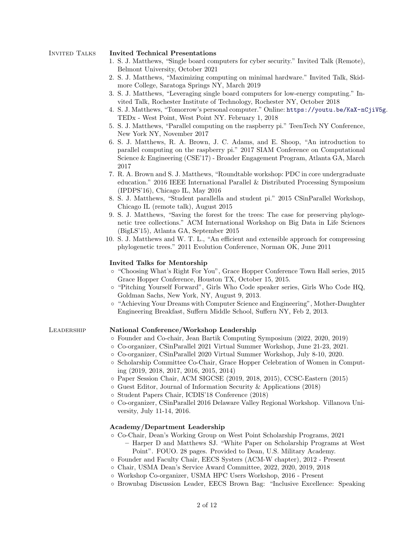### Invited Talks Invited Technical Presentations

- 1. S. J. Matthews, "Single board computers for cyber security." Invited Talk (Remote), Belmont University, October 2021
- 2. S. J. Matthews, "Maximizing computing on minimal hardware." Invited Talk, Skidmore College, Saratoga Springs NY, March 2019
- 3. S. J. Matthews, "Leveraging single board computers for low-energy computing." Invited Talk, Rochester Institute of Technology, Rochester NY, October 2018
- 4. S. J. Matthews, "Tomorrow's personal computer." Online: <https://youtu.be/KaX-nCjiV5g>. TEDx - West Point, West Point NY. February 1, 2018
- 5. S. J. Matthews, "Parallel computing on the raspberry pi." TeenTech NY Conference, New York NY, November 2017
- 6. S. J. Matthews, R. A. Brown, J. C. Adams, and E. Shoop, "An introduction to parallel computing on the raspberry pi." 2017 SIAM Conference on Computational Science & Engineering (CSE'17) - Broader Engagement Program, Atlanta GA, March 2017
- 7. R. A. Brown and S. J. Matthews, "Roundtable workshop: PDC in core undergraduate education." 2016 IEEE International Parallel & Distributed Processing Symposium (IPDPS'16), Chicago IL, May 2016
- 8. S. J. Matthews, "Student parallella and student pi." 2015 CSinParallel Workshop, Chicago IL (remote talk), August 2015
- 9. S. J. Matthews, "Saving the forest for the trees: The case for preserving phylogenetic tree collections." ACM International Workshop on Big Data in Life Sciences (BigLS'15), Atlanta GA, September 2015
- 10. S. J. Matthews and W. T. L., "An efficient and extensible approach for compressing phylogenetic trees." 2011 Evolution Conference, Norman OK, June 2011

#### Invited Talks for Mentorship

- "Choosing What's Right For You", Grace Hopper Conference Town Hall series, 2015 Grace Hopper Conference, Houston TX, October 15, 2015.
- "Pitching Yourself Forward", Girls Who Code speaker series, Girls Who Code HQ, Goldman Sachs, New York, NY, August 9, 2013.
- "Achieving Your Dreams with Computer Science and Engineering", Mother-Daughter Engineering Breakfast, Suffern Middle School, Suffern NY, Feb 2, 2013.

## Leadership National Conference/Workshop Leadership

- Founder and Co-chair, Jean Bartik Computing Symposium (2022, 2020, 2019)
- Co-organizer, CSinParallel 2021 Virtual Summer Workshop, June 21-23, 2021.
- Co-organizer, CSinParallel 2020 Virtual Summer Workshop, July 8-10, 2020.
- Scholarship Committee Co-Chair, Grace Hopper Celebration of Women in Computing (2019, 2018, 2017, 2016, 2015, 2014)
- Paper Session Chair, ACM SIGCSE (2019, 2018, 2015), CCSC-Eastern (2015)
- Guest Editor, Journal of Information Security & Applications (2018)
- Student Papers Chair, ICDIS'18 Conference (2018)
- Co-organizer, CSinParallel 2016 Delaware Valley Regional Workshop. Villanova University, July 11-14, 2016.

### Academy/Department Leadership

- Co-Chair, Dean's Working Group on West Point Scholarship Programs, 2021 – Harper D and Matthews SJ. "White Paper on Scholarship Programs at West Point". FOUO. 28 pages. Provided to Dean, U.S. Military Academy.
- Founder and Faculty Chair, EECS Systers (ACM-W chapter), 2012 Present
- Chair, USMA Dean's Service Award Committee, 2022, 2020, 2019, 2018
- Workshop Co-organizer, USMA HPC Users Workshop, 2016 Present
- Brownbag Discussion Leader, EECS Brown Bag: "Inclusive Excellence: Speaking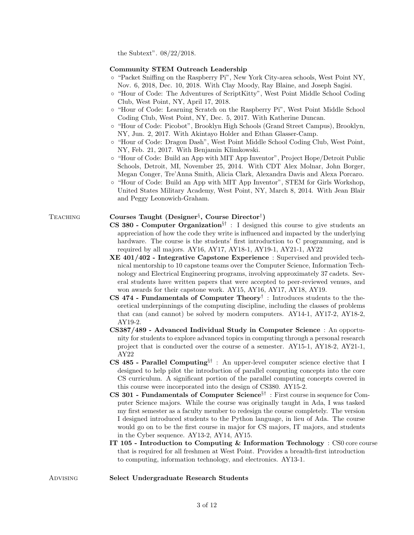the Subtext". 08/22/2018.

#### Community STEM Outreach Leadership

- "Packet Sniffing on the Raspberry Pi", New York City-area schools, West Point NY, Nov. 6, 2018, Dec. 10, 2018. With Clay Moody, Ray Blaine, and Joseph Sagisi.
- "Hour of Code: The Adventures of ScriptKitty", West Point Middle School Coding Club, West Point, NY, April 17, 2018.
- "Hour of Code: Learning Scratch on the Raspberry Pi", West Point Middle School Coding Club, West Point, NY, Dec. 5, 2017. With Katherine Duncan.
- "Hour of Code: Picobot", Brooklyn High Schools (Grand Street Campus), Brooklyn, NY, Jun. 2, 2017. With Akintayo Holder and Ethan Glasser-Camp.
- "Hour of Code: Dragon Dash", West Point Middle School Coding Club, West Point, NY, Feb. 21, 2017. With Benjamin Klimkowski.
- "Hour of Code: Build an App with MIT App Inventor", Project Hope/Detroit Public Schools, Detroit, MI, November 25, 2014. With CDT Alex Molnar, John Borger, Megan Conger, Tre'Anna Smith, Alicia Clark, Alexandra Davis and Alexa Porcaro.
- "Hour of Code: Build an App with MIT App Inventor", STEM for Girls Workshop, United States Military Academy, West Point, NY, March 8, 2014. With Jean Blair and Peggy Leonowich-Graham.

# TEACHING Courses Taught (Designer<sup>§</sup>, Course Director<sup>†</sup>)

- **CS 380 Computer Organization**<sup>§†</sup> : I designed this course to give students an appreciation of how the code they write is influenced and impacted by the underlying hardware. The course is the students' first introduction to C programming, and is required by all majors. AY16, AY17, AY18-1, AY19-1, AY21-1, AY22
- XE 401/402 Integrative Capstone Experience : Supervised and provided technical mentorship to 10 capstone teams over the Computer Science, Information Technology and Electrical Engineering programs, involving approximately 37 cadets. Several students have written papers that were accepted to peer-reviewed venues, and won awards for their capstone work. AY15, AY16, AY17, AY18, AY19.
- CS 474 Fundamentals of Computer Theory<sup>†</sup>: Introduces students to the theoretical underpinnings of the computing discipline, including the classes of problems that can (and cannot) be solved by modern computers. AY14-1, AY17-2, AY18-2, AY19-2.
- CS387/489 Advanced Individual Study in Computer Science : An opportunity for students to explore advanced topics in computing through a personal research project that is conducted over the course of a semester. AY15-1, AY18-2, AY21-1, AY22
- CS 485 Parallel Computing<sup>§†</sup>: An upper-level computer science elective that I designed to help pilot the introduction of parallel computing concepts into the core CS curriculum. A significant portion of the parallel computing concepts covered in this course were incorporated into the design of CS380. AY15-2.
- **CS 301 Fundamentals of Computer Science** $i$ <sup>†</sup> : First course in sequence for Computer Science majors. While the course was originally taught in Ada, I was tasked my first semester as a faculty member to redesign the course completely. The version I designed introduced students to the Python language, in lieu of Ada. The course would go on to be the first course in major for CS majors, IT majors, and students in the Cyber sequence. AY13-2, AY14, AY15.
- IT 105 Introduction to Computing & Information Technology : CS0 core course that is required for all freshmen at West Point. Provides a breadth-first introduction to computing, information technology, and electronics. AY13-1.

#### ADVISING Select Undergraduate Research Students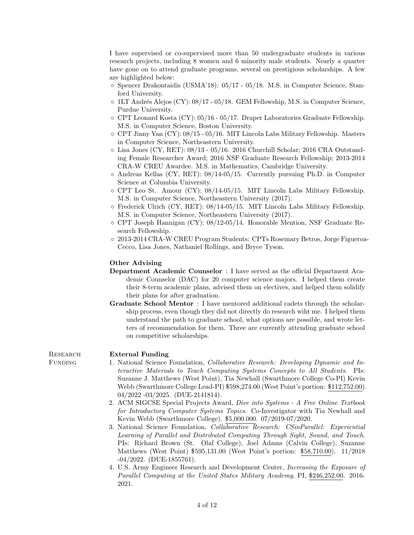I have supervised or co-supervised more than 50 undergraduate students in various research projects, including 8 women and 6 minority male students. Nearly a quarter have gone on to attend graduate programs, several on prestigious scholarships. A few are highlighted below:

- Spencer Drakontaidis (USMA'18): 05/17 05/18. M.S. in Computer Science, Stanford University.
- $\circ$  1LT Andrés Alejos (CY): 08/17 05/18. GEM Fellowship, M.S. in Computer Science, Purdue University.
- CPT Leonard Kosta (CY): 05/16 05/17. Draper Laboratories Graduate Fellowship. M.S. in Computer Science, Boston University.
- CPT Jinny Yan (CY): 08/15 05/16. MIT Lincoln Labs Military Fellowship. Masters in Computer Science, Northeastern University.
- Lisa Jones (CY, RET): 08/13 05/16. 2016 Churchill Scholar; 2016 CRA Outstanding Female Researcher Award; 2016 NSF Graduate Research Fellowship; 2013-2014 CRA-W CREU Awardee. M.S. in Mathematics, Cambridge University.
- Andreas Kellas (CY, RET): 08/14-05/15. Currently pursuing Ph.D. in Computer Science at Columbia University.
- CPT Leo St. Amour (CY): 08/14-05/15. MIT Lincoln Labs Military Fellowship. M.S. in Computer Science, Northeastern University (2017).
- Frederick Ulrich (CY, RET): 08/14-05/15. MIT Lincoln Labs Military Fellowship. M.S. in Computer Science, Northeastern University (2017).
- CPT Joseph Hannigan (CY): 08/12-05/14. Honorable Mention, NSF Graduate Research Fellowship.
- 2013-2014 CRA-W CREU Program Students: CPTs Rosemary Betros, Jorge Figueroa-Cecco, Lisa Jones, Nathaniel Rollings, and Bryce Tyson.

#### Other Advising

- Department Academic Counselor : I have served as the official Department Academic Counselor (DAC) for 20 computer science majors. I helped them create their 8-term academic plans, advised them on electives, and helped them solidify their plans for after graduation.
- Graduate School Mentor : I have mentored additional cadets through the scholarship process, even though they did not directly do research wiht me. I helped them understand the path to graduate school, what options are possible, and wrote letters of recommendation for them. Three are currently attending graduate school on competitive scholarships.

#### RESEARCH External Funding

- Funding 1. National Science Foundation, Collaborative Research: Developing Dynamic and Interactive Materials to Teach Computing Systems Concepts to All Students. PIs: Suzanne J. Matthews (West Point), Tia Newhall (Swarthmore College Co-PI) Kevin Webb (Swarthmore College Lead-PI) \$598,274.00 (West Point's portion: \$112,752.00). 04/2022 -03/2025. (DUE-2141814).
	- 2. ACM SIGCSE Special Projects Award, Dive into Systems A Free Online Textbook for Introductory Computer Systems Topics. Co-Investigator with Tia Newhall and Kevin Webb (Swarthmore College). \$5,000.000. 07/2019-07/2020.
	- 3. National Science Foundation, *Collaborative Research: CSinParallel: Experiential* Learning of Parallel and Distributed Computing Through Sight, Sound, and Touch. PIs: Richard Brown (St. Olaf College), Joel Adams (Calvin College), Suzanne Matthews (West Point) \$595,131.00 (West Point's portion: \$58,710.00). 11/2018 -04/2022. (DUE-1855761).
	- 4. U.S. Army Engineer Research and Development Center, Increasing the Exposure of Parallel Computing at the United States Military Academy, PI, \$246,252.00. 2016- 2021.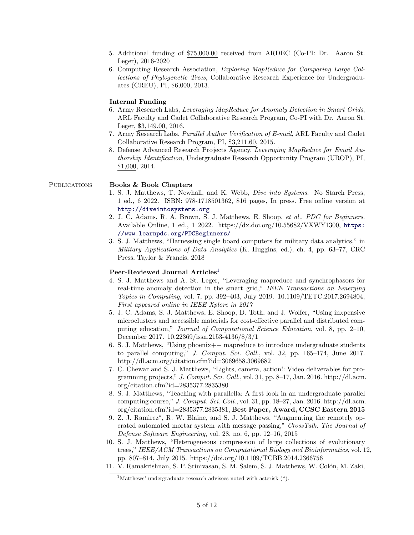- 5. Additional funding of \$75,000.00 received from ARDEC (Co-PI: Dr. Aaron St. Leger), 2016-2020
- 6. Computing Research Association, Exploring MapReduce for Comparing Large Collections of Phylogenetic Trees, Collaborative Research Experience for Undergraduates (CREU), PI, \$6,000, 2013.

### Internal Funding

- 6. Army Research Labs, Leveraging MapReduce for Anomaly Detection in Smart Grids, ARL Faculty and Cadet Collaborative Research Program, Co-PI with Dr. Aaron St. Leger, \$3,149.00, 2016.
- 7. Army Research Labs, Parallel Author Verification of E-mail, ARL Faculty and Cadet Collaborative Research Program, PI, \$3,211.60, 2015.
- 8. Defense Advanced Research Projects Agency, Leveraging MapReduce for Email Authorship Identification, Undergraduate Research Opportunity Program (UROP), PI, \$1,000, 2014.

### PUBLICATIONS Books & Book Chapters

- 1. S. J. Matthews, T. Newhall, and K. Webb, Dive into Systems. No Starch Press, 1 ed., 6 2022. ISBN: 978-1718501362, 816 pages, In press. Free online version at <http://diveintosystems.org>
- 2. J. C. Adams, R. A. Brown, S. J. Matthews, E. Shoop, et al., PDC for Beginners. Available Online, 1 ed., 1 2022. https://dx.doi.org/10.55682/VXWY1300, [https:](https://www.learnpdc.org/PDCBeginners/) [//www.learnpdc.org/PDCBeginners/](https://www.learnpdc.org/PDCBeginners/)
- 3. S. J. Matthews, "Harnessing single board computers for military data analytics," in Military Applications of Data Analytics (K. Huggins, ed.), ch. 4, pp. 63–77, CRC Press, Taylor & Francis, 2018

#### Peer-Reviewed Journal Articles<sup>[1](#page-4-0)</sup>

- 4. S. J. Matthews and A. St. Leger, "Leveraging mapreduce and synchrophasors for real-time anomaly detection in the smart grid," IEEE Transactions on Emerging Topics in Computing, vol. 7, pp. 392–403, July 2019. 10.1109/TETC.2017.2694804, First appeared online in IEEE Xplore in 2017
- 5. J. C. Adams, S. J. Matthews, E. Shoop, D. Toth, and J. Wolfer, "Using inxpensive microclusters and accessible materials for cost-effective parallel and distributed computing education," Journal of Computational Science Education, vol. 8, pp. 2–10, December 2017. 10.22369/issn.2153-4136/8/3/1
- 6. S. J. Matthews, "Using phoenix++ mapreduce to introduce undergraduate students to parallel computing," J. Comput. Sci. Coll., vol. 32, pp. 165–174, June 2017. http://dl.acm.org/citation.cfm?id=3069658.3069682
- 7. C. Chewar and S. J. Matthews, "Lights, camera, action!: Video deliverables for programming projects," J. Comput. Sci. Coll., vol. 31, pp.  $8-17$ , Jan. 2016. http://dl.acm. org/citation.cfm?id=2835377.2835380
- 8. S. J. Matthews, "Teaching with parallella: A first look in an undergraduate parallel computing course," J. Comput. Sci. Coll., vol. 31, pp. 18–27, Jan. 2016. http://dl.acm. org/citation.cfm?id=2835377.2835381, Best Paper, Award, CCSC Eastern 2015
- 9. Z. J. Ramirez<sup>\*</sup>, R. W. Blaine, and S. J. Matthews, "Augmenting the remotely operated automated mortar system with message passing," CrossTalk, The Journal of Defense Software Engineering, vol. 28, no. 6, pp. 12–16, 2015
- 10. S. J. Matthews, "Heterogeneous compression of large collections of evolutionary trees," IEEE/ACM Transactions on Computational Biology and Bioinformatics, vol. 12, pp. 807–814, July 2015. https://doi.org/10.1109/TCBB.2014.2366756
- 11. V. Ramakrishnan, S. P. Srinivasan, S. M. Salem, S. J. Matthews, W. Colón, M. Zaki,

<span id="page-4-0"></span><sup>&</sup>lt;sup>1</sup>Matthews' undergraduate research advisees noted with asterisk  $(*)$ .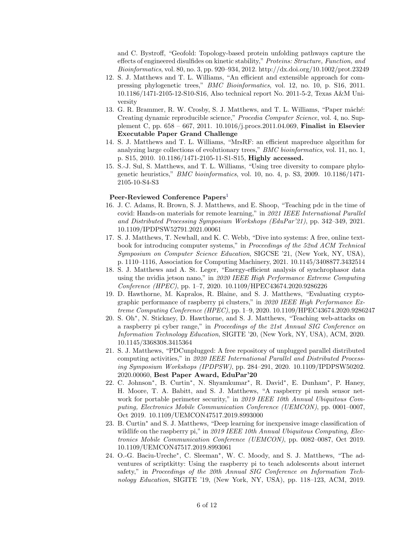and C. Bystroff, "Geofold: Topology-based protein unfolding pathways capture the effects of engineered disulfides on kinetic stability," Proteins: Structure, Function, and Bioinformatics, vol. 80, no. 3, pp. 920–934, 2012. http://dx.doi.org/10.1002/prot.23249

- 12. S. J. Matthews and T. L. Williams, "An efficient and extensible approach for compressing phylogenetic trees," BMC Bioinformatics, vol. 12, no. 10, p. S16, 2011. 10.1186/1471-2105-12-S10-S16, Also technical report No. 2011-5-2, Texas A&M University
- 13. G. R. Brammer, R. W. Crosby, S. J. Matthews, and T. L. Williams, "Paper mâché: Creating dynamic reproducible science," Procedia Computer Science, vol. 4, no. Supplement C, pp. 658 – 667, 2011. 10.1016/j.procs.2011.04.069, Finalist in Elsevier Executable Paper Grand Challenge
- 14. S. J. Matthews and T. L. Williams, "MrsRF: an efficient mapreduce algorithm for analyzing large collections of evolutionary trees," BMC bioinformatics, vol. 11, no. 1, p. S15, 2010. 10.1186/1471-2105-11-S1-S15, Highly accessed.
- 15. S.-J. Sul, S. Matthews, and T. L. Williams, "Using tree diversity to compare phylogenetic heuristics," BMC bioinformatics, vol. 10, no. 4, p. S3, 2009. 10.1186/1471- 2105-10-S4-S3

### Peer-Reviewed Conference Papers<sup>[1](#page-4-0)</sup>

- 16. J. C. Adams, R. Brown, S. J. Matthews, and E. Shoop, "Teaching pdc in the time of covid: Hands-on materials for remote learning," in 2021 IEEE International Parallel and Distributed Processing Symposium Workshops (EduPar'21), pp. 342–349, 2021. 10.1109/IPDPSW52791.2021.00061
- 17. S. J. Matthews, T. Newhall, and K. C. Webb, "Dive into systems: A free, online textbook for introducing computer systems," in Proceedings of the 52nd ACM Technical Symposium on Computer Science Education, SIGCSE '21, (New York, NY, USA), p. 1110–1116, Association for Computing Machinery, 2021. 10.1145/3408877.3432514
- 18. S. J. Matthews and A. St. Leger, "Energy-efficient analysis of synchrophasor data using the nvidia jetson nano," in 2020 IEEE High Performance Extreme Computing Conference (HPEC), pp. 1–7, 2020. 10.1109/HPEC43674.2020.9286226
- 19. D. Hawthorne, M. Kapralos, R. Blaine, and S. J. Matthews, "Evaluating cryptographic performance of raspberry pi clusters," in 2020 IEEE High Performance Extreme Computing Conference (HPEC), pp. 1–9, 2020. 10.1109/HPEC43674.2020.9286247
- 20. S. Oh<sup>∗</sup> , N. Stickney, D. Hawthorne, and S. J. Matthews, "Teaching web-attacks on a raspberry pi cyber range," in Proceedings of the 21st Annual SIG Conference on Information Technology Education, SIGITE '20, (New York, NY, USA), ACM, 2020. 10.1145/3368308.3415364
- 21. S. J. Matthews, "PDCunplugged: A free repository of unplugged parallel distributed computing activities," in 2020 IEEE International Parallel and Distributed Processing Symposium Workshops (IPDPSW), pp. 284–291, 2020. 10.1109/IPDPSW50202. 2020.00060, Best Paper Award, EduPar'20
- 22. C. Johnson\*, B. Curtin\*, N. Shyamkumar\*, R. David\*, E. Dunham\*, P. Haney, H. Moore, T. A. Babitt, and S. J. Matthews, "A raspberry pi mesh sensor network for portable perimeter security," in 2019 IEEE 10th Annual Ubiquitous Computing, Electronics Mobile Communication Conference (UEMCON), pp. 0001–0007, Oct 2019. 10.1109/UEMCON47517.2019.8993000
- 23. B. Curtin<sup>∗</sup> and S. J. Matthews, "Deep learning for inexpensive image classification of wildlife on the raspberry pi," in 2019 IEEE 10th Annual Ubiquitous Computing, Electronics Mobile Communication Conference (UEMCON), pp. 0082–0087, Oct 2019. 10.1109/UEMCON47517.2019.8993061
- 24. O.-G. Baciu-Ureche<sup>∗</sup> , C. Sleeman<sup>∗</sup> , W. C. Moody, and S. J. Matthews, "The adventures of scriptkitty: Using the raspberry pi to teach adolescents about internet safety," in Proceedings of the 20th Annual SIG Conference on Information Technology Education, SIGITE '19, (New York, NY, USA), pp. 118–123, ACM, 2019.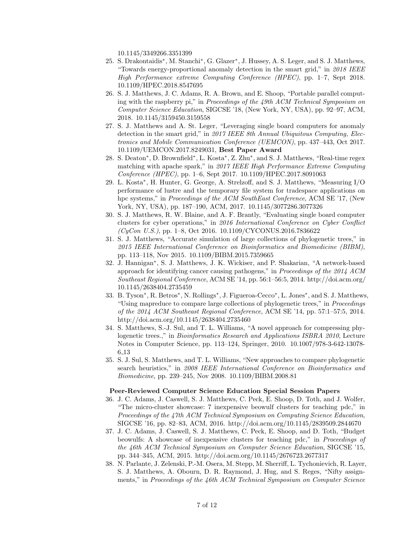10.1145/3349266.3351399

- 25. S. Drakontaidis<sup>∗</sup> , M. Stanchi<sup>∗</sup> , G. Glazer<sup>∗</sup> , J. Hussey, A. S. Leger, and S. J. Matthews, "Towards energy-proportional anomaly detection in the smart grid," in 2018 IEEE High Performance extreme Computing Conference (HPEC), pp. 1–7, Sept 2018. 10.1109/HPEC.2018.8547695
- 26. S. J. Matthews, J. C. Adams, R. A. Brown, and E. Shoop, "Portable parallel computing with the raspberry pi," in Proceedings of the 49th ACM Technical Symposium on Computer Science Education, SIGCSE '18, (New York, NY, USA), pp. 92–97, ACM, 2018. 10.1145/3159450.3159558
- 27. S. J. Matthews and A. St. Leger, "Leveraging single board computers for anomaly detection in the smart grid," in 2017 IEEE 8th Annual Ubiquitous Computing, Electronics and Mobile Communication Conference (UEMCON), pp. 437–443, Oct 2017. 10.1109/UEMCON.2017.8249031, Best Paper Award
- 28. S. Deaton<sup>\*</sup>, D. Brownfield<sup>\*</sup>, L. Kosta<sup>\*</sup>, Z. Zhu<sup>\*</sup>, and S. J. Matthews, "Real-time regex matching with apache spark," in 2017 IEEE High Performance Extreme Computing Conference (HPEC), pp. 1–6, Sept 2017. 10.1109/HPEC.2017.8091063
- 29. L. Kosta<sup>∗</sup> , H. Hunter, G. George, A. Strelzoff, and S. J. Matthews, "Measuring I/O performance of lustre and the temporary file system for tradespace applications on hpc systems," in *Proceedings of the ACM SouthEast Conference*, ACM SE '17, (New York, NY, USA), pp. 187–190, ACM, 2017. 10.1145/3077286.3077326
- 30. S. J. Matthews, R. W. Blaine, and A. F. Brantly, "Evaluating single board computer clusters for cyber operations," in 2016 International Conference on Cyber Conflict  $(CyCon U.S.),$  pp. 1–8, Oct 2016. 10.1109/CYCONUS.2016.7836622
- 31. S. J. Matthews, "Accurate simulation of large collections of phylogenetic trees," in 2015 IEEE International Conference on Bioinformatics and Biomedicine (BIBM), pp. 113–118, Nov 2015. 10.1109/BIBM.2015.7359665
- 32. J. Hannigan<sup>∗</sup> , S. J. Matthews, J. K. Wickiser, and P. Shakarian, "A network-based approach for identifying cancer causing pathogens," in Proceedings of the 2014 ACM Southeast Regional Conference, ACM SE '14, pp. 56:1–56:5, 2014. http://doi.acm.org/ 10.1145/2638404.2735459
- 33. B. Tyson<sup>\*</sup>, R. Betros<sup>\*</sup>, N. Rollings<sup>\*</sup>, J. Figueroa-Cecco<sup>\*</sup>, L. Jones<sup>\*</sup>, and S. J. Matthews, "Using mapreduce to compare large collections of phylogenetic trees," in Proceedings of the 2014 ACM Southeast Regional Conference, ACM SE '14, pp. 57:1–57:5, 2014. http://doi.acm.org/10.1145/2638404.2735460
- 34. S. Matthews, S.-J. Sul, and T. L. Williams, "A novel approach for compressing phylogenetic trees.," in Bioinformatics Research and Applications ISBRA 2010, Lecture Notes in Computer Science, pp. 113–124, Springer, 2010. 10.1007/978-3-642-13078- 6 13
- 35. S. J. Sul, S. Matthews, and T. L. Williams, "New approaches to compare phylogenetic search heuristics," in 2008 IEEE International Conference on Bioinformatics and Biomedicine, pp. 239–245, Nov 2008. 10.1109/BIBM.2008.81

### Peer-Reviewed Computer Science Education Special Session Papers

- 36. J. C. Adams, J. Caswell, S. J. Matthews, C. Peck, E. Shoop, D. Toth, and J. Wolfer, "The micro-cluster showcase: 7 inexpensive beowulf clusters for teaching pdc," in Proceedings of the 47th ACM Technical Symposium on Computing Science Education, SIGCSE '16, pp. 82–83, ACM, 2016. http://doi.acm.org/10.1145/2839509.2844670
- 37. J. C. Adams, J. Caswell, S. J. Matthews, C. Peck, E. Shoop, and D. Toth, "Budget beowulfs: A showcase of inexpensive clusters for teaching pdc," in Proceedings of the 46th ACM Technical Symposium on Computer Science Education, SIGCSE '15, pp. 344–345, ACM, 2015. http://doi.acm.org/10.1145/2676723.2677317
- 38. N. Parlante, J. Zelenski, P.-M. Osera, M. Stepp, M. Sherriff, L. Tychonievich, R. Layer, S. J. Matthews, A. Obourn, D. R. Raymond, J. Hug, and S. Reges, "Nifty assignments," in Proceedings of the 46th ACM Technical Symposium on Computer Science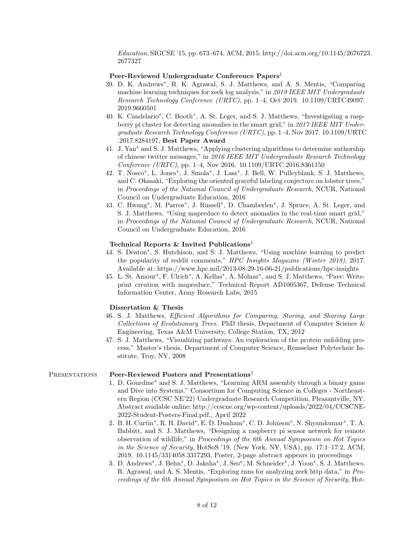Education, SIGCSE '15, pp. 673–674, ACM, 2015. http://doi.acm.org/10.1145/2676723. 2677327

#### Peer-Reviewed Undergraduate Conference Papers<sup>[1](#page-4-0)</sup>

- 39. D. K. Andrews<sup>∗</sup> , R. K. Agrawal, S. J. Matthews, and A. S. Mentis, "Comparing machine learning techniques for zeek log analysis," in 2019 IEEE MIT Undergraduate Research Technology Conference (URTC), pp. 1–4, Oct 2019. 10.1109/URTC49097. 2019.9660501
- 40. K. Candelario<sup>∗</sup> , C. Booth<sup>∗</sup> , A. St. Leger, and S. J. Matthews, "Investigating a raspberry pi cluster for detecting anomalies in the smart grid," in 2017 IEEE MIT Undergraduate Research Technology Conference (URTC), pp. 1–4, Nov 2017. 10.1109/URTC .2017.8284197, Best Paper Award
- 41. J. Yan<sup>∗</sup> and S. J. Matthews, "Applying clustering algorithms to determine authorship of chinese twitter messages," in 2016 IEEE MIT Undergraduate Research Technology Conference (URTC), pp. 1–4, Nov 2016. 10.1109/URTC.2016.8361150
- 42. T. Nosco<sup>∗</sup> , L. Jones<sup>∗</sup> , J. Smola<sup>∗</sup> , J. Lass<sup>∗</sup> , J. Bell, W. Pulleyblank, S. J. Matthews, and C. Okasaki, "Exploring the oriented graceful labeling conjecture on lobster trees," in Proceedings of the National Council of Undergraduate Research, NCUR, National Council on Undergraduate Education, 2016
- 43. C. Hwang<sup>\*</sup>, M. Parros<sup>\*</sup>, J. Russell<sup>\*</sup>, D. Chamberlen<sup>\*</sup>, J. Spruce, A. St. Leger, and S. J. Matthews, "Using mapreduce to detect anomalies in the real-time smart grid," in Proceedings of the National Council of Undergraduate Research, NCUR, National Council on Undergraduate Education, 2016

### Technical Reports & Invited Publications<sup>[1](#page-4-0)</sup>

- 44. S. Deaton<sup>∗</sup> , S. Hutchison, and S. J. Matthews, "Using machine learning to predict the popularity of reddit comments," HPC Insights Magazine (Winter 2018), 2017. Available at: https://www.hpc.mil/2013-08-29-16-06-21/publications/hpc-insights
- 45. L. St. Amour\*, F. Ulrich\*, A. Kellas\*, A. Molnar\*, and S. J. Matthews, "Pave: Writeprint creation with mapreduce," Technical Report AD1005367, Defense Technical Information Center, Army Research Labs, 2015

#### Dissertation & Thesis

- 46. S. J. Matthews, Efficient Algorithms for Comparing, Storing, and Sharing Large Collections of Evolutionary Trees. PhD thesis, Department of Computer Science  $\&$ Engineering, Texas A&M University, College Station, TX, 2012
- 47. S. J. Matthews, "Visualizing pathways: An exploration of the protein unfolding process," Master's thesis, Department of Computer Science, Rensselaer Polytechnic Institute, Troy, NY, 2008

### PRESENTATIONS Peer-Reviewed Posters and Presentations<sup>[1](#page-4-0)</sup>

- 1. D. Gourdine<sup>∗</sup> and S. J. Matthews, "Learning ARM assembly through a binary game and Dive into Systems." Consortium for Computing Science in Colleges - Northeastern Region (CCSC NE'22) Undergraduate Research Competition, Pleasantville, NY. Abstract available online: http://ccscne.org/wp-content/uploads/2022/04/CCSCNE-2022-Student-Posters-Final.pdf., April 2022
- 2. B. H. Curtin<sup>\*</sup>, R. H. David<sup>\*</sup>, E. D. Dunham<sup>\*</sup>, C. D. Johnson<sup>\*</sup>, N. Shyamkumar<sup>\*</sup>, T. A. Babbitt, and S. J. Matthews, "Designing a raspberry pi sensor network for remote observation of wildlife," in Proceedings of the 6th Annual Symposium on Hot Topics in the Science of Security, HotSoS '19, (New York, NY, USA), pp. 17:1–17:2, ACM, 2019. 10.1145/3314058.3317293, Poster, 2-page abstract appears in proceedings
- 3. D. Andrews<sup>∗</sup> , J. Behn<sup>∗</sup> , D. Jaksha<sup>∗</sup> , J. Seo<sup>∗</sup> , M. Schneider<sup>∗</sup> , J. Yoon<sup>∗</sup> , S. J. Matthews, R. Agrawal, and A. S. Mentis, "Exploring rnns for analyzing zeek http data," in Proceedings of the 6th Annual Symposium on Hot Topics in the Science of Security, Hot-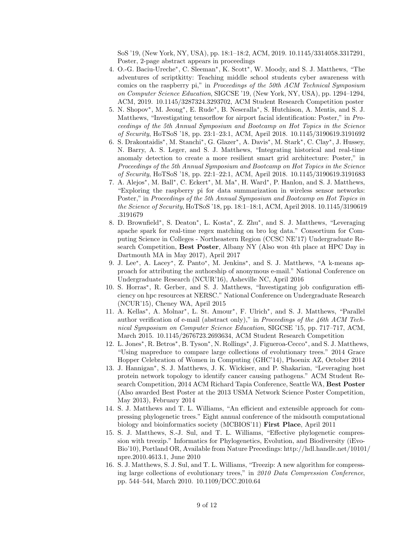SoS '19, (New York, NY, USA), pp. 18:1–18:2, ACM, 2019. 10.1145/3314058.3317291, Poster, 2-page abstract appears in proceedings

- 4. O.-G. Baciu-Ureche<sup>∗</sup> , C. Sleeman<sup>∗</sup> , K. Scott<sup>∗</sup> , W. Moody, and S. J. Matthews, "The adventures of scriptkitty: Teaching middle school students cyber awareness with comics on the raspberry pi," in Proceedings of the 50th ACM Technical Symposium on Computer Science Education, SIGCSE '19, (New York, NY, USA), pp. 1294–1294, ACM, 2019. 10.1145/3287324.3293702, ACM Student Research Competition poster
- 5. N. Shopov<sup>∗</sup> , M. Jeong<sup>∗</sup> , E. Rude<sup>∗</sup> , B. Neseralla<sup>∗</sup> , S. Hutchison, A. Mentis, and S. J. Matthews, "Investigating tensorflow for airport facial identification: Poster," in Proceedings of the 5th Annual Symposium and Bootcamp on Hot Topics in the Science of Security, HoTSoS '18, pp. 23:1–23:1, ACM, April 2018. 10.1145/3190619.3191692
- 6. S. Drakontaidis<sup>∗</sup> , M. Stanchi<sup>∗</sup> , G. Glazer<sup>∗</sup> , A. Davis<sup>∗</sup> , M. Stark<sup>∗</sup> , C. Clay<sup>∗</sup> , J. Hussey, N. Barry, A. S. Leger, and S. J. Matthews, "Integrating historical and real-time anomaly detection to create a more resilient smart grid architecture: Poster," in Proceedings of the 5th Annual Symposium and Bootcamp on Hot Topics in the Science of Security, HoTSoS '18, pp. 22:1–22:1, ACM, April 2018. 10.1145/3190619.3191683
- 7. A. Alejos<sup>\*</sup>, M. Ball<sup>\*</sup>, C. Eckert<sup>\*</sup>, M. Ma<sup>\*</sup>, H. Ward<sup>\*</sup>, P. Hanlon, and S. J. Matthews, "Exploring the raspberry pi for data summarization in wireless sensor networks: Poster," in Proceedings of the 5th Annual Symposium and Bootcamp on Hot Topics in the Science of Security, HoTSoS '18, pp. 18:1–18:1, ACM, April 2018. 10.1145/3190619 .3191679
- 8. D. Brownfield<sup>\*</sup>, S. Deaton<sup>\*</sup>, L. Kosta<sup>\*</sup>, Z. Zhu<sup>\*</sup>, and S. J. Matthews, "Leveraging apache spark for real-time regex matching on bro log data." Consortium for Computing Science in Colleges - Northeastern Region (CCSC NE'17) Undergraduate Research Competition, Best Poster, Albany NY (Also won 4th place at HPC Day in Dartmouth MA in May 2017), April 2017
- 9. J. Lee\*, A. Lacey\*, Z. Panto\*, M. Jenkins\*, and S. J. Matthews, "A k-means approach for attributing the authorship of anonymous e-mail." National Conference on Undergraduate Research (NCUR'16), Asheville NC, April 2016
- 10. S. Horras<sup>∗</sup> , R. Gerber, and S. J. Matthews, "Investigating job configuration efficiency on hpc resources at NERSC." National Conference on Undergraduate Research (NCUR'15), Cheney WA, April 2015
- 11. A. Kellas<sup>\*</sup>, A. Molnar<sup>\*</sup>, L. St. Amour<sup>\*</sup>, F. Ulrich<sup>\*</sup>, and S. J. Matthews, "Parallel author verification of e-mail (abstract only)," in Proceedings of the  $46th$  ACM Technical Symposium on Computer Science Education, SIGCSE '15, pp. 717–717, ACM, March 2015. 10.1145/2676723.2693634, ACM Student Research Competition
- 12. L. Jones\*, R. Betros\*, B. Tyson\*, N. Rollings\*, J. Figueroa-Cecco\*, and S. J. Matthews, "Using mapreduce to compare large collections of evolutionary trees." 2014 Grace Hopper Celebration of Women in Computing (GHC'14), Phoenix AZ, October 2014
- 13. J. Hannigan<sup>\*</sup>, S. J. Matthews, J. K. Wickiser, and P. Shakarian, "Leveraging host protein network topology to identify cancer causing pathogens." ACM Student Research Competition, 2014 ACM Richard Tapia Conference, Seattle WA, Best Poster (Also awarded Best Poster at the 2013 USMA Network Science Poster Competition, May 2013), February 2014
- 14. S. J. Matthews and T. L. Williams, "An efficient and extensible approach for compressing phylogenetic trees." Eight annual conference of the midsouth computational biology and bioinformatics society (MCBIOS'11) First Place, April 2011
- 15. S. J. Matthews, S.-J. Sul, and T. L. Williams, "Effective phylogenetic compression with treezip." Informatics for Phylogenetics, Evolution, and Biodiversity (iEvo-Bio'10), Portland OR, Available from Nature Precedings: http://hdl.handle.net/10101/ npre.2010.4613.1, June 2010
- 16. S. J. Matthews, S. J. Sul, and T. L. Williams, "Treezip: A new algorithm for compressing large collections of evolutionary trees," in 2010 Data Compression Conference, pp. 544–544, March 2010. 10.1109/DCC.2010.64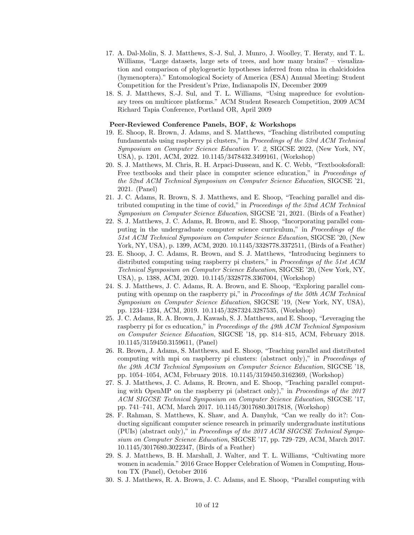- 17. A. Dal-Molin, S. J. Matthews, S.-J. Sul, J. Munro, J. Woolley, T. Heraty, and T. L. Williams, "Large datasets, large sets of trees, and how many brains? – visualization and comparison of phylogenetic hypotheses inferred from rdna in chalcidoidea (hymenoptera)." Entomological Society of America (ESA) Annual Meeting: Student Competition for the President's Prize, Indianapolis IN, December 2009
- 18. S. J. Matthews, S.-J. Sul, and T. L. Williams, "Using mapreduce for evolutionary trees on multicore platforms." ACM Student Research Competition, 2009 ACM Richard Tapia Conference, Portland OR, April 2009

#### Peer-Reviewed Conference Panels, BOF, & Workshops

- 19. E. Shoop, R. Brown, J. Adams, and S. Matthews, "Teaching distributed computing fundamentals using raspberry pi clusters," in Proceedings of the 53rd ACM Technical Symposium on Computer Science Education V. 2, SIGCSE 2022, (New York, NY, USA), p. 1201, ACM, 2022. 10.1145/3478432.3499161, (Workshop)
- 20. S. J. Matthews, M. Chris, R. H. Arpaci-Dusseau, and K. C. Webb, "Textbooksforall: Free textbooks and their place in computer science education," in *Proceedings of* the 52nd ACM Technical Symposium on Computer Science Education, SIGCSE '21, 2021. (Panel)
- 21. J. C. Adams, R. Brown, S. J. Matthews, and E. Shoop, "Teaching parallel and distributed computing in the time of covid," in Proceedings of the 52nd ACM Technical Symposium on Computer Science Education, SIGCSE '21, 2021. (Birds of a Feather)
- 22. S. J. Matthews, J. C. Adams, R. Brown, and E. Shoop, "Incorporating parallel computing in the undergraduate computer science curriculum," in Proceedings of the 51st ACM Technical Symposium on Computer Science Education, SIGCSE '20, (New York, NY, USA), p. 1399, ACM, 2020. 10.1145/3328778.3372511, (Birds of a Feather)
- 23. E. Shoop, J. C. Adams, R. Brown, and S. J. Matthews, "Introducing beginners to distributed computing using raspberry pi clusters," in Proceedings of the 51st ACM Technical Symposium on Computer Science Education, SIGCSE '20, (New York, NY, USA), p. 1388, ACM, 2020. 10.1145/3328778.3367004, (Workshop)
- 24. S. J. Matthews, J. C. Adams, R. A. Brown, and E. Shoop, "Exploring parallel computing with openmp on the raspberry pi," in Proceedings of the 50th ACM Technical Symposium on Computer Science Education, SIGCSE '19, (New York, NY, USA), pp. 1234–1234, ACM, 2019. 10.1145/3287324.3287535, (Workshop)
- 25. J. C. Adams, R. A. Brown, J. Kawash, S. J. Matthews, and E. Shoop, "Leveraging the raspberry pi for cs education," in Proceedings of the 49th ACM Technical Symposium on Computer Science Education, SIGCSE '18, pp. 814–815, ACM, February 2018. 10.1145/3159450.3159611, (Panel)
- 26. R. Brown, J. Adams, S. Matthews, and E. Shoop, "Teaching parallel and distributed computing with mpi on raspberry pi clusters: (abstract only)," in Proceedings of the 49th ACM Technical Symposium on Computer Science Education, SIGCSE '18, pp. 1054–1054, ACM, February 2018. 10.1145/3159450.3162369, (Workshop)
- 27. S. J. Matthews, J. C. Adams, R. Brown, and E. Shoop, "Teaching parallel computing with OpenMP on the raspberry pi (abstract only)," in *Proceedings of the 2017* ACM SIGCSE Technical Symposium on Computer Science Education, SIGCSE '17, pp. 741–741, ACM, March 2017. 10.1145/3017680.3017818, (Workshop)
- 28. F. Rahman, S. Matthews, K. Shaw, and A. Danyluk, "Can we really do it?: Conducting significant computer science research in primarily undergraduate institutions (PUIs) (abstract only)," in Proceedings of the 2017 ACM SIGCSE Technical Symposium on Computer Science Education, SIGCSE '17, pp. 729–729, ACM, March 2017. 10.1145/3017680.3022347, (Birds of a Feather)
- 29. S. J. Matthews, B. H. Marshall, J. Walter, and T. L. Williams, "Cultivating more women in academia." 2016 Grace Hopper Celebration of Women in Computing, Houston TX (Panel), October 2016
- 30. S. J. Matthews, R. A. Brown, J. C. Adams, and E. Shoop, "Parallel computing with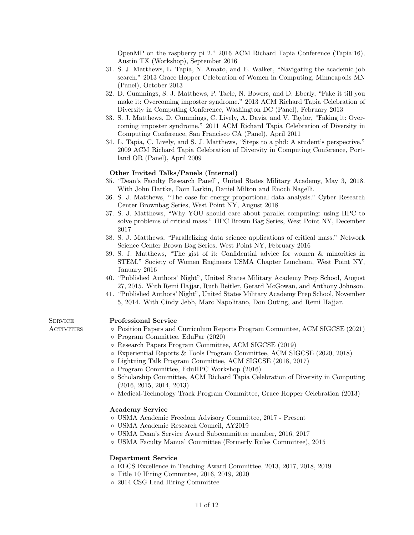OpenMP on the raspberry pi 2." 2016 ACM Richard Tapia Conference (Tapia'16), Austin TX (Workshop), September 2016

- 31. S. J. Matthews, L. Tapia, N. Amato, and E. Walker, "Navigating the academic job search." 2013 Grace Hopper Celebration of Women in Computing, Minneapolis MN (Panel), October 2013
- 32. D. Cummings, S. J. Matthews, P. Taele, N. Bowers, and D. Eberly, "Fake it till you make it: Overcoming imposter syndrome." 2013 ACM Richard Tapia Celebration of Diversity in Computing Conference, Washington DC (Panel), February 2013
- 33. S. J. Matthews, D. Cummings, C. Lively, A. Davis, and V. Taylor, "Faking it: Overcoming imposter syndrome." 2011 ACM Richard Tapia Celebration of Diversity in Computing Conference, San Francisco CA (Panel), April 2011
- 34. L. Tapia, C. Lively, and S. J. Matthews, "Steps to a phd: A student's perspective." 2009 ACM Richard Tapia Celebration of Diversity in Computing Conference, Portland OR (Panel), April 2009

### Other Invited Talks/Panels (Internal)

- 35. "Dean's Faculty Research Panel", United States Military Academy, May 3, 2018. With John Hartke, Dom Larkin, Daniel Milton and Enoch Nagelli.
- 36. S. J. Matthews, "The case for energy proportional data analysis." Cyber Research Center Brownbag Series, West Point NY, August 2018
- 37. S. J. Matthews, "Why YOU should care about parallel computing: using HPC to solve problems of critical mass." HPC Brown Bag Series, West Point NY, December 2017
- 38. S. J. Matthews, "Parallelizing data science applications of critical mass." Network Science Center Brown Bag Series, West Point NY, February 2016
- 39. S. J. Matthews, "The gist of it: Confidential advice for women & minorities in STEM." Society of Women Engineers USMA Chapter Luncheon, West Point NY, January 2016
- 40. "Published Authors' Night", United States Military Academy Prep School, August 27, 2015. With Remi Hajjar, Ruth Beitler, Gerard McGowan, and Anthony Johnson.
- 41. "Published Authors' Night", United States Military Academy Prep School, November 5, 2014. With Cindy Jebb, Marc Napolitano, Don Outing, and Remi Hajjar.

#### SERVICE Professional Service

- Activities Position Papers and Curriculum Reports Program Committee, ACM SIGCSE (2021)
	- Program Committee, EduPar (2020)
	- Research Papers Program Committee, ACM SIGCSE (2019)
	- Experiential Reports & Tools Program Committee, ACM SIGCSE (2020, 2018)
	- Lightning Talk Program Committee, ACM SIGCSE (2018, 2017)
	- Program Committee, EduHPC Workshop (2016)
	- Scholarship Committee, ACM Richard Tapia Celebration of Diversity in Computing (2016, 2015, 2014, 2013)
	- Medical-Technology Track Program Committee, Grace Hopper Celebration (2013)

#### Academy Service

- USMA Academic Freedom Advisory Committee, 2017 Present
- USMA Academic Research Council, AY2019
- USMA Dean's Service Award Subcommittee member, 2016, 2017
- USMA Faculty Manual Committee (Formerly Rules Committee), 2015

#### Department Service

- EECS Excellence in Teaching Award Committee, 2013, 2017, 2018, 2019
- Title 10 Hiring Committee, 2016, 2019, 2020
- 2014 CSG Lead Hiring Committee